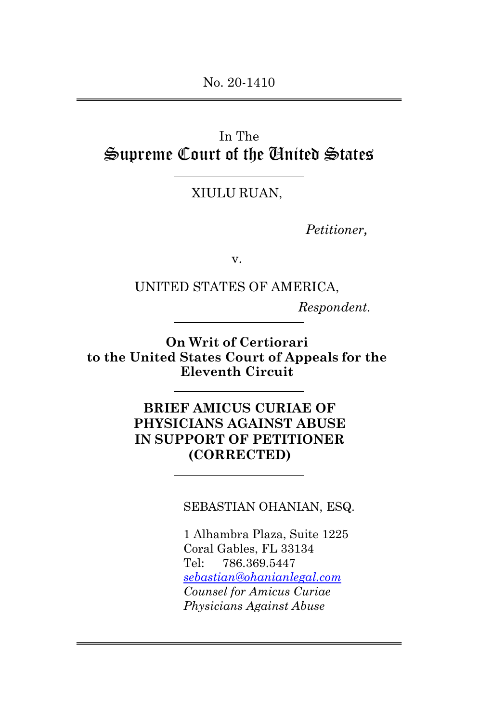# In The Supreme Court of the United States

## XIULU RUAN,

*Petitioner,*

v.

UNITED STATES OF AMERICA,

*Respondent.*

**On Writ of Certiorari to the United States Court of Appeals for the Eleventh Circuit**

> **BRIEF AMICUS CURIAE OF PHYSICIANS AGAINST ABUSE IN SUPPORT OF PETITIONER (CORRECTED)**

> > SEBASTIAN OHANIAN, ESQ.

1 Alhambra Plaza, Suite 1225 Coral Gables, FL 33134 Tel: 786.369.5447 *[sebastian@ohanianlegal.com](mailto:sebastian@ohanianlegal.com) Counsel for Amicus Curiae Physicians Against Abuse*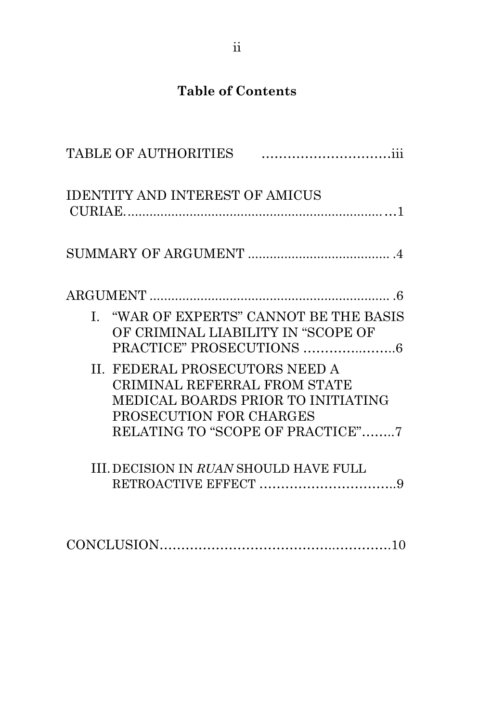# **Table of Contents**

|              | <b>TABLE OF AUTHORITIES</b>                                                               |                                                                        |
|--------------|-------------------------------------------------------------------------------------------|------------------------------------------------------------------------|
|              | <b>IDENTITY AND INTEREST OF AMICUS</b>                                                    |                                                                        |
|              |                                                                                           |                                                                        |
|              |                                                                                           |                                                                        |
| $\mathbf{I}$ | OF CRIMINAL LIABILITY IN "SCOPE OF                                                        | "WAR OF EXPERTS" CANNOT BE THE BASIS                                   |
|              | II. FEDERAL PROSECUTORS NEED A<br>CRIMINAL REFERRAL FROM STATE<br>PROSECUTION FOR CHARGES | MEDICAL BOARDS PRIOR TO INITIATING<br>RELATING TO "SCOPE OF PRACTICE"7 |
|              | <b>III. DECISION IN RUAN SHOULD HAVE FULL</b>                                             |                                                                        |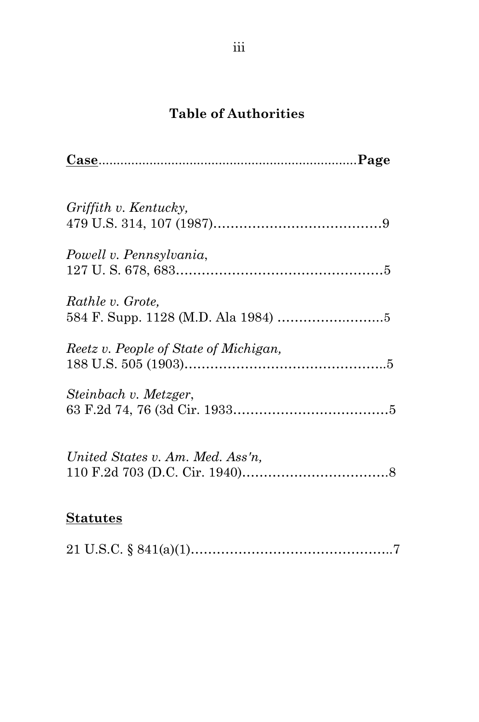# **Table of Authorities**

| $\frac{\text{Case}}{\text{Case}}$     |
|---------------------------------------|
| Griffith v. Kentucky,                 |
| Powell v. Pennsylvania,               |
| Rathle v. Grote,                      |
| Reetz v. People of State of Michigan, |
| Steinbach v. Metzger,                 |
| United States v. Am. Med. Ass'n,      |
| <u>Statutes</u>                       |

# 21 U.S.C. § 841(a)(1)………………………………………..7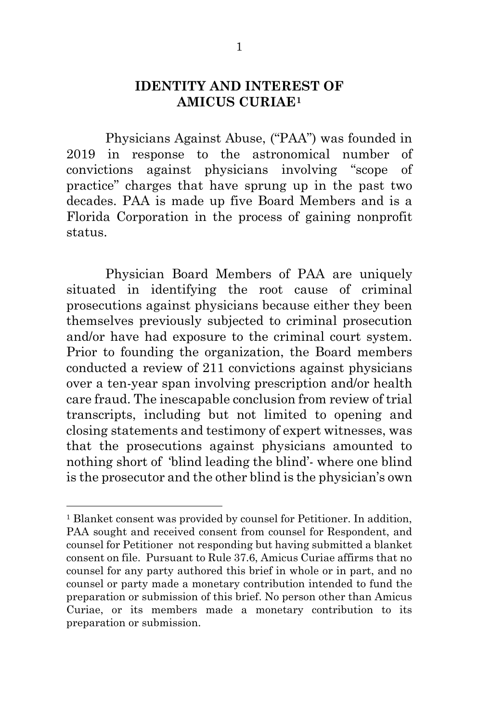### **IDENTITY AND INTEREST OF AMICUS CURIAE[1](#page-3-0)**

Physicians Against Abuse, ("PAA") was founded in 2019 in response to the astronomical number of convictions against physicians involving "scope of practice" charges that have sprung up in the past two decades. PAA is made up five Board Members and is a Florida Corporation in the process of gaining nonprofit status.

Physician Board Members of PAA are uniquely situated in identifying the root cause of criminal prosecutions against physicians because either they been themselves previously subjected to criminal prosecution and/or have had exposure to the criminal court system. Prior to founding the organization, the Board members conducted a review of 211 convictions against physicians over a ten-year span involving prescription and/or health care fraud. The inescapable conclusion from review of trial transcripts, including but not limited to opening and closing statements and testimony of expert witnesses, was that the prosecutions against physicians amounted to nothing short of 'blind leading the blind'- where one blind is the prosecutor and the other blind is the physician's own

<span id="page-3-0"></span><sup>&</sup>lt;sup>1</sup> Blanket consent was provided by counsel for Petitioner. In addition, PAA sought and received consent from counsel for Respondent, and counsel for Petitioner not responding but having submitted a blanket consent on file. Pursuant to Rule 37.6, Amicus Curiae affirms that no counsel for any party authored this brief in whole or in part, and no counsel or party made a monetary contribution intended to fund the preparation or submission of this brief. No person other than Amicus Curiae, or its members made a monetary contribution to its preparation or submission.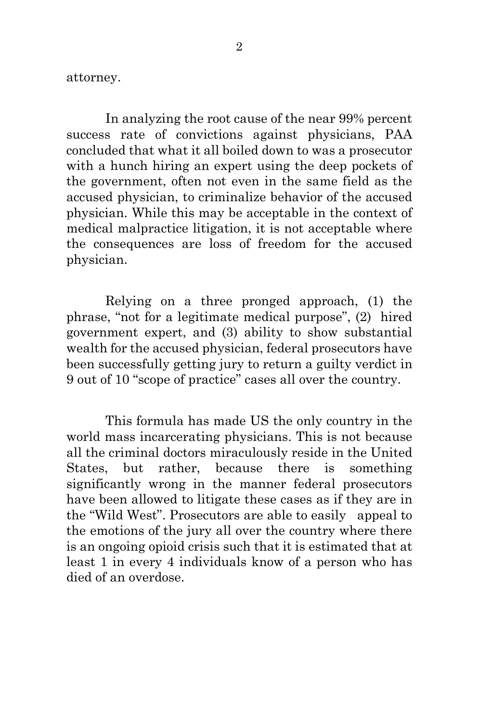attorney.

In analyzing the root cause of the near 99% percent success rate of convictions against physicians, PAA concluded that what it all boiled down to was a prosecutor with a hunch hiring an expert using the deep pockets of the government, often not even in the same field as the accused physician, to criminalize behavior of the accused physician. While this may be acceptable in the context of medical malpractice litigation, it is not acceptable where the consequences are loss of freedom for the accused physician.

Relying on a three pronged approach, (1) the phrase, "not for a legitimate medical purpose", (2) hired government expert, and (3) ability to show substantial wealth for the accused physician, federal prosecutors have been successfully getting jury to return a guilty verdict in 9 out of 10 "scope of practice" cases all over the country.

This formula has made US the only country in the world mass incarcerating physicians. This is not because all the criminal doctors miraculously reside in the United States, but rather, because there is something significantly wrong in the manner federal prosecutors have been allowed to litigate these cases as if they are in the "Wild West". Prosecutors are able to easily appeal to the emotions of the jury all over the country where there is an ongoing opioid crisis such that it is estimated that at least 1 in every 4 individuals know of a person who has died of an overdose.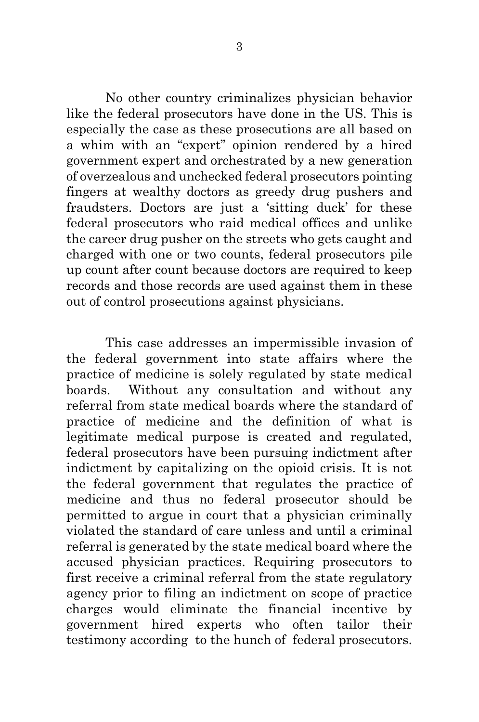No other country criminalizes physician behavior like the federal prosecutors have done in the US. This is especially the case as these prosecutions are all based on a whim with an "expert" opinion rendered by a hired government expert and orchestrated by a new generation of overzealous and unchecked federal prosecutors pointing fingers at wealthy doctors as greedy drug pushers and fraudsters. Doctors are just a 'sitting duck' for these federal prosecutors who raid medical offices and unlike the career drug pusher on the streets who gets caught and charged with one or two counts, federal prosecutors pile up count after count because doctors are required to keep records and those records are used against them in these out of control prosecutions against physicians.

<span id="page-5-0"></span>This case addresses an impermissible invasion of the federal government into state affairs where the practice of medicine is solely regulated by state medical boards. Without any consultation and without any referral from state medical boards where the standard of practice of medicine and the definition of what is legitimate medical purpose is created and regulated, federal prosecutors have been pursuing indictment after indictment by capitalizing on the opioid crisis. It is not the federal government that regulates the practice of medicine and thus no federal prosecutor should be permitted to argue in court that a physician criminally violated the standard of care unless and until a criminal referral is generated by the state medical board where the accused physician practices. Requiring prosecutors to first receive a criminal referral from the state regulatory agency prior to filing an indictment on scope of practice charges would eliminate the financial incentive by government hired experts who often tailor their testimony according to the hunch of federal prosecutors.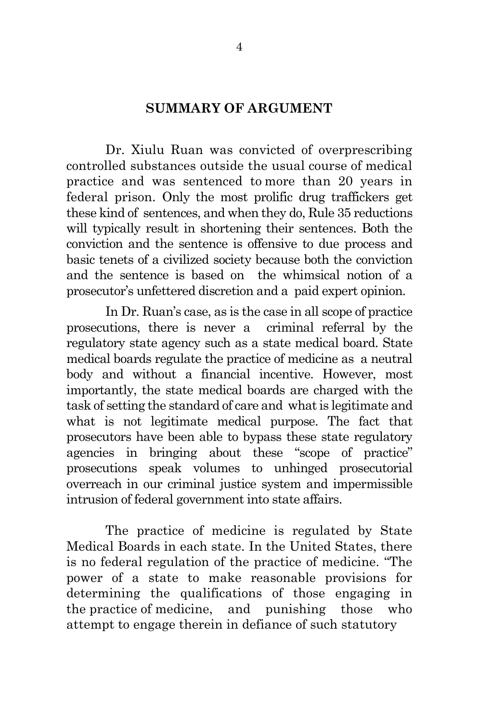#### **SUMMARY OF ARGUMENT**

Dr. Xiulu Ruan was convicted of overprescribing controlled substances outside the usual course of medical practice and was sentenced to more than 20 years in federal prison. Only the most prolific drug traffickers get these kind of sentences, and when they do, Rule 35 reductions will typically result in shortening their sentences. Both the conviction and the sentence is offensive to due process and basic tenets of a civilized society because both the conviction and the sentence is based on the whimsical notion of a prosecutor's unfettered discretion and a paid expert opinion.

In Dr. Ruan's case, as is the case in all scope of practice prosecutions, there is never a criminal referral by the regulatory state agency such as a state medical board. State medical boards regulate the practice of medicine as a neutral body and without a financial incentive. However, most importantly, the state medical boards are charged with the task of setting the standard of care and what is legitimate and what is not legitimate medical purpose. The fact that prosecutors have been able to bypass these state regulatory agencies in bringing about these "scope of practice" prosecutions speak volumes to unhinged prosecutorial overreach in our criminal justice system and impermissible intrusion of federal government into state affairs.

The practice of medicine is regulated by State Medical Boards in each state. In the United States, there is no federal regulation of the practice of medicine. "The power of a state to make reasonable provisions for determining the qualifications of those engaging in the practice of medicine, and punishing those who attempt to engage therein in defiance of such statutory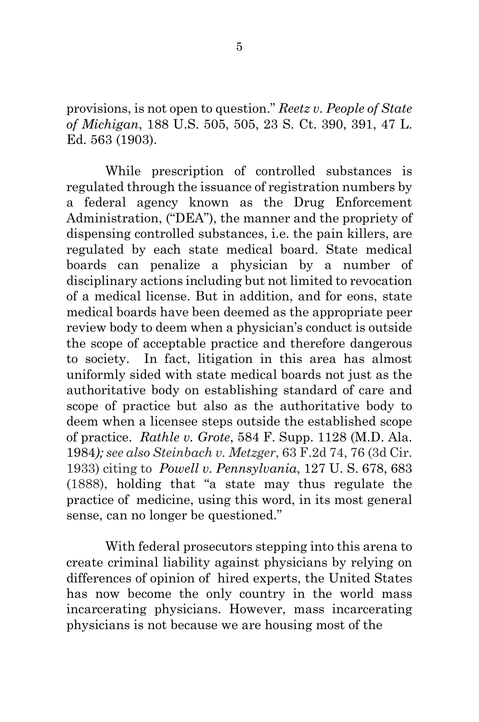provisions, is not open to question." *Reetz v. People of State of Michigan*, 188 U.S. 505, 505, 23 S. Ct. 390, 391, 47 L. Ed. 563 (1903).

While prescription of controlled substances is regulated through the issuance of registration numbers by a federal agency known as the Drug Enforcement Administration, ("DEA"), the manner and the propriety of dispensing controlled substances, i.e. the pain killers, are regulated by each state medical board. State medical boards can penalize a physician by a number of disciplinary actions including but not limited to revocation of a medical license. But in addition, and for eons, state medical boards have been deemed as the appropriate peer review body to deem when a physician's conduct is outside the scope of acceptable practice and therefore dangerous to society. In fact, litigation in this area has almost uniformly sided with state medical boards not just as the authoritative body on establishing standard of care and scope of practice but also as the authoritative body to deem when a licensee steps outside the established scope of practice. *Rathle v. Grote*, 584 F. Supp. 1128 (M.D. Ala. 1984*); see also Steinbach v. Metzger*, 63 F.2d 74, 76 (3d Cir. 1933) citing to *[Powell v. Pennsylvania](https://1.next.westlaw.com/Link/Document/FullText?findType=Y&serNum=1888180053&pubNum=708&originatingDoc=Iedd7a917547911d9a99c85a9e6023ffa&refType=RP&fi=co_pp_sp_708_1257&originationContext=document&transitionType=DocumentItem&ppcid=ffbf71c9893d4be282b2dfa96c83f98f&contextData=(sc.Search)#co_pp_sp_708_1257)*[, 127 U. S. 678, 683](https://1.next.westlaw.com/Link/Document/FullText?findType=Y&serNum=1888180053&pubNum=708&originatingDoc=Iedd7a917547911d9a99c85a9e6023ffa&refType=RP&fi=co_pp_sp_708_1257&originationContext=document&transitionType=DocumentItem&ppcid=ffbf71c9893d4be282b2dfa96c83f98f&contextData=(sc.Search)#co_pp_sp_708_1257) (1888), holding that "a state may thus regulate the practice of medicine, using this word, in its most general sense, can no longer be questioned."

With federal prosecutors stepping into this arena to create criminal liability against physicians by relying on differences of opinion of hired experts, the United States has now become the only country in the world mass incarcerating physicians. However, mass incarcerating physicians is not because we are housing most of the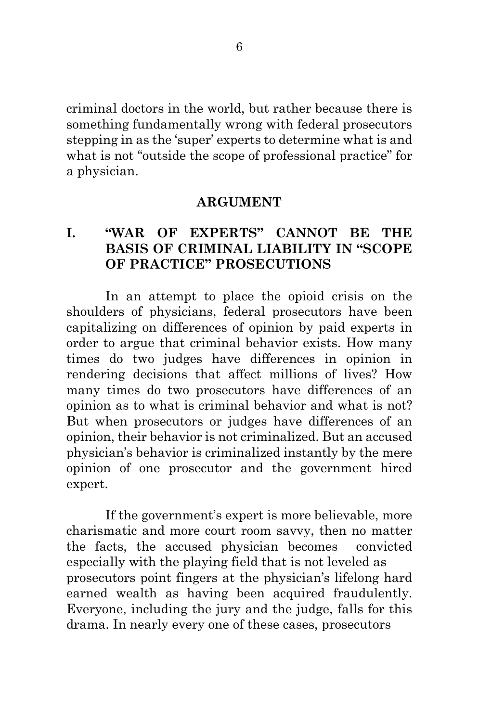criminal doctors in the world, but rather because there is something fundamentally wrong with federal prosecutors stepping in as the 'super' experts to determine what is and what is not "outside the scope of professional practice" for a physician.

#### **ARGUMENT**

## <span id="page-8-0"></span>**I. "WAR OF EXPERTS" CANNOT BE THE BASIS OF CRIMINAL LIABILITY IN "SCOPE OF PRACTICE" PROSECUTIONS**

In an attempt to place the opioid crisis on the shoulders of physicians, federal prosecutors have been capitalizing on differences of opinion by paid experts in order to argue that criminal behavior exists. How many times do two judges have differences in opinion in rendering decisions that affect millions of lives? How many times do two prosecutors have differences of an opinion as to what is criminal behavior and what is not? But when prosecutors or judges have differences of an opinion, their behavior is not criminalized. But an accused physician's behavior is criminalized instantly by the mere opinion of one prosecutor and the government hired expert.

If the government's expert is more believable, more charismatic and more court room savvy, then no matter the facts, the accused physician becomes convicted especially with the playing field that is not leveled as prosecutors point fingers at the physician's lifelong hard earned wealth as having been acquired fraudulently. Everyone, including the jury and the judge, falls for this drama. In nearly every one of these cases, prosecutors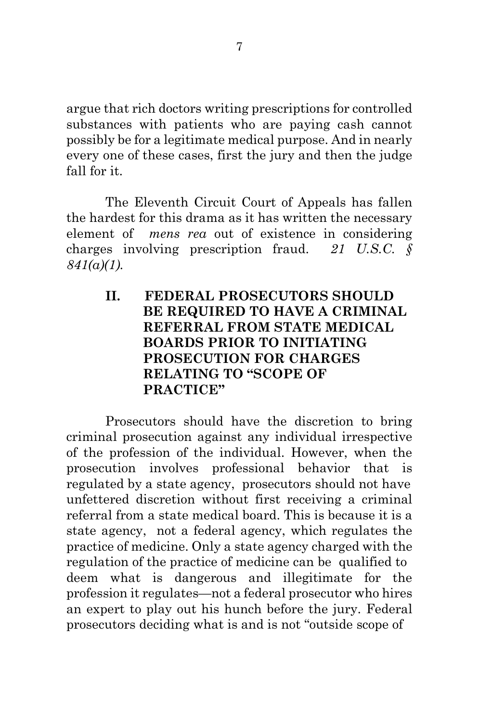argue that rich doctors writing prescriptions for controlled substances with patients who are paying cash cannot possibly be for a legitimate medical purpose. And in nearly every one of these cases, first the jury and then the judge fall for it.

The Eleventh Circuit Court of Appeals has fallen the hardest for this drama as it has written the necessary element of *mens rea* out of existence in considering charges involving prescription fraud. *21 U.S.C. § 841(a)(1).* 

> **II. FEDERAL PROSECUTORS SHOULD BE REQUIRED TO HAVE A CRIMINAL REFERRAL FROM STATE MEDICAL BOARDS PRIOR TO INITIATING PROSECUTION FOR CHARGES RELATING TO "SCOPE OF PRACTICE"**

Prosecutors should have the discretion to bring criminal prosecution against any individual irrespective of the profession of the individual. However, when the prosecution involves professional behavior that is regulated by a state agency, prosecutors should not have unfettered discretion without first receiving a criminal referral from a state medical board. This is because it is a state agency, not a federal agency, which regulates the practice of medicine. Only a state agency charged with the regulation of the practice of medicine can be qualified to deem what is dangerous and illegitimate for the profession it regulates—not a federal prosecutor who hires an expert to play out his hunch before the jury. Federal prosecutors deciding what is and is not "outside scope of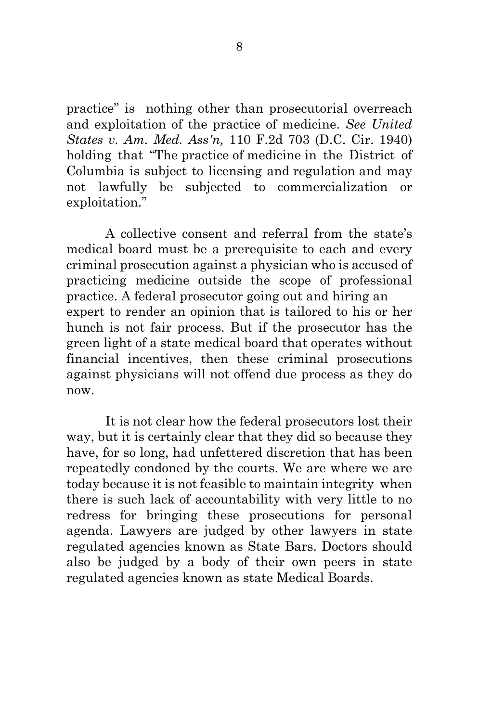practice" is nothing other than prosecutorial overreach and exploitation of the practice of medicine. *See United States v. Am. Med. Ass'n,* 110 F.2d 703 (D.C. Cir. 1940) holding that "The practice of medicine in the District of Columbia is subject to licensing and regulation and may not lawfully be subjected to commercialization or exploitation."

A collective consent and referral from the state's medical board must be a prerequisite to each and every criminal prosecution against a physician who is accused of practicing medicine outside the scope of professional practice. A federal prosecutor going out and hiring an expert to render an opinion that is tailored to his or her hunch is not fair process. But if the prosecutor has the green light of a state medical board that operates without financial incentives, then these criminal prosecutions against physicians will not offend due process as they do now.

It is not clear how the federal prosecutors lost their way, but it is certainly clear that they did so because they have, for so long, had unfettered discretion that has been repeatedly condoned by the courts. We are where we are today because it is not feasible to maintain integrity when there is such lack of accountability with very little to no redress for bringing these prosecutions for personal agenda. Lawyers are judged by other lawyers in state regulated agencies known as State Bars. Doctors should also be judged by a body of their own peers in state regulated agencies known as state Medical Boards.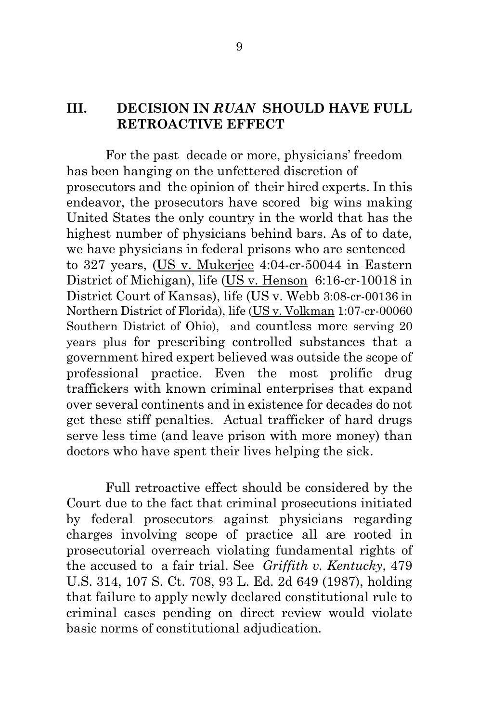## **III. DECISION IN** *RUAN* **SHOULD HAVE FULL RETROACTIVE EFFECT**

For the past decade or more, physicians' freedom has been hanging on the unfettered discretion of prosecutors and the opinion of their hired experts. In this endeavor, the prosecutors have scored big wins making United States the only country in the world that has the highest number of physicians behind bars. As of to date, we have physicians in federal prisons who are sentenced to 327 years, (US v. Mukerjee 4:04-cr-50044 in Eastern District of Michigan), life (US v. Henson 6:16-cr-10018 in District Court of Kansas), life (US v. Webb 3:08-cr-00136 in Northern District of Florida), life (US v. Volkman 1:07-cr-00060 Southern District of Ohio), and countless more serving 20 years plus for prescribing controlled substances that a government hired expert believed was outside the scope of professional practice. Even the most prolific drug traffickers with known criminal enterprises that expand over several continents and in existence for decades do not get these stiff penalties. Actual trafficker of hard drugs serve less time (and leave prison with more money) than doctors who have spent their lives helping the sick.

Full retroactive effect should be considered by the Court due to the fact that criminal prosecutions initiated by federal prosecutors against physicians regarding charges involving scope of practice all are rooted in prosecutorial overreach violating fundamental rights of the accused to a fair trial. See *Griffith v. Kentucky*, 479 U.S. 314, 107 S. Ct. 708, 93 L. Ed. 2d 649 (1987), holding that failure to apply newly declared constitutional rule to criminal cases pending on direct review would violate basic norms of constitutional adjudication.